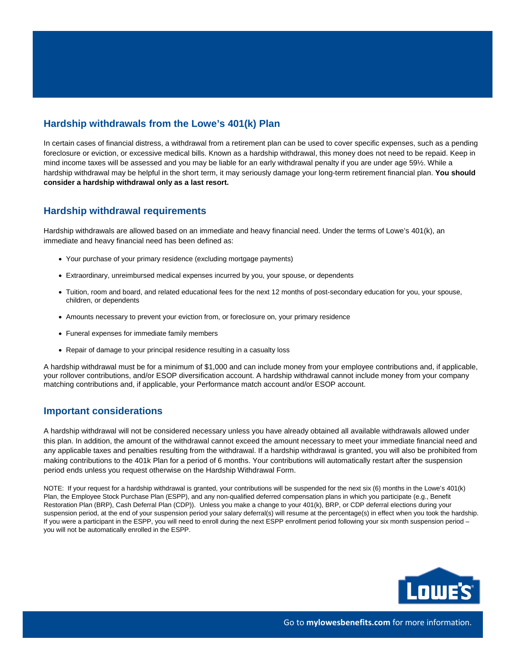# **Hardship withdrawals from the Lowe's 401(k) Plan**

In certain cases of financial distress, a withdrawal from a retirement plan can be used to cover specific expenses, such as a pending foreclosure or eviction, or excessive medical bills. Known as a hardship withdrawal, this money does not need to be repaid. Keep in mind income taxes will be assessed and you may be liable for an early withdrawal penalty if you are under age 59½. While a hardship withdrawal may be helpful in the short term, it may seriously damage your long-term retirement financial plan. **You should consider a hardship withdrawal only as a last resort.**

# **Hardship withdrawal requirements**

Hardship withdrawals are allowed based on an immediate and heavy financial need. Under the terms of Lowe's 401(k), an immediate and heavy financial need has been defined as:

- Your purchase of your primary residence (excluding mortgage payments)
- Extraordinary, unreimbursed medical expenses incurred by you, your spouse, or dependents
- Tuition, room and board, and related educational fees for the next 12 months of post-secondary education for you, your spouse, children, or dependents
- Amounts necessary to prevent your eviction from, or foreclosure on, your primary residence
- Funeral expenses for immediate family members
- Repair of damage to your principal residence resulting in a casualty loss

A hardship withdrawal must be for a minimum of \$1,000 and can include money from your employee contributions and, if applicable, your rollover contributions, and/or ESOP diversification account. A hardship withdrawal cannot include money from your company matching contributions and, if applicable, your Performance match account and/or ESOP account.

### **Important considerations**

A hardship withdrawal will not be considered necessary unless you have already obtained all available withdrawals allowed under this plan. In addition, the amount of the withdrawal cannot exceed the amount necessary to meet your immediate financial need and any applicable taxes and penalties resulting from the withdrawal. If a hardship withdrawal is granted, you will also be prohibited from making contributions to the 401k Plan for a period of 6 months. Your contributions will automatically restart after the suspension period ends unless you request otherwise on the Hardship Withdrawal Form.

NOTE: If your request for a hardship withdrawal is granted, your contributions will be suspended for the next six (6) months in the Lowe's 401(k) Plan, the Employee Stock Purchase Plan (ESPP), and any non-qualified deferred compensation plans in which you participate (e.g., Benefit Restoration Plan (BRP), Cash Deferral Plan (CDP)). Unless you make a change to your 401(k), BRP, or CDP deferral elections during your suspension period, at the end of your suspension period your salary deferral(s) will resume at the percentage(s) in effect when you took the hardship. If you were a participant in the ESPP, you will need to enroll during the next ESPP enrollment period following your six month suspension period you will not be automatically enrolled in the ESPP.